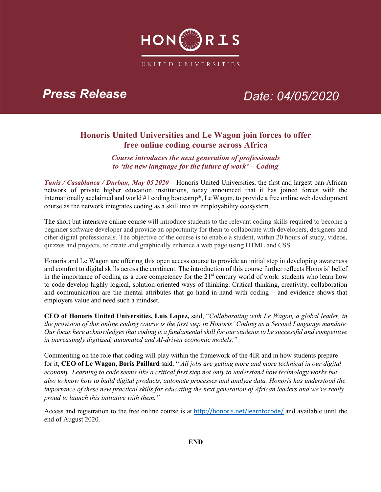

# *Press Release Date: 04/05/2020*

## **Honoris United Universities and Le Wagon join forces to offer free online coding course across Africa**

*Course introduces the next generation of professionals to 'the new language for the future of work' – Coding*

*Tunis / Casablanca / Durban, May 05 2020* – Honoris United Universities, the first and largest pan-African network of private higher education institutions, today announced that it has joined forces with the internationally acclaimed and world #1 coding bootcamp\*, Le Wagon, to provide a free online web development course as the network integrates coding as a skill into its employability ecosystem.

The short but intensive online course will introduce students to the relevant coding skills required to become a beginner software developer and provide an opportunity for them to collaborate with developers, designers and other digital professionals. The objective of the course is to enable a student, within 20 hours of study, videos, quizzes and projects, to create and graphically enhance a web page using HTML and CSS.

Honoris and Le Wagon are offering this open access course to provide an initial step in developing awareness and comfort to digital skills across the continent. The introduction of this course further reflects Honoris' belief in the importance of coding as a core competency for the  $21<sup>st</sup>$  century world of work: students who learn how to code develop highly logical, solution-oriented ways of thinking. Critical thinking, creativity, collaboration and communication are the mental attributes that go hand-in-hand with coding – and evidence shows that employers value and need such a mindset.

**CEO of Honoris United Universities, Luis Lopez,** said, "*Collaborating with Le Wagon, a global leader, in the provision of this online coding course is the first step in Honoris' Coding as a Second Language mandate. Our focus here acknowledges that coding is a fundamental skill for our students to be successful and competitive in increasingly digitized, automated and AI-driven economic models."*

Commenting on the role that coding will play within the framework of the 4IR and in how students prepare for it, **CEO of Le Wagon, Boris Paillard** said, " *All jobs are getting more and more technical in our digital economy. Learning to code seems like a critical first step not only to understand how technology works but also to know how to build digital products, automate processes and analyze data. Honoris has understood the importance of these new practical skills for educating the next generation of African leaders and we're really proud to launch this initiative with them."*

Access and registration to the free online course is at http://honoris.net/learntocode/ and available until the end of August 2020.